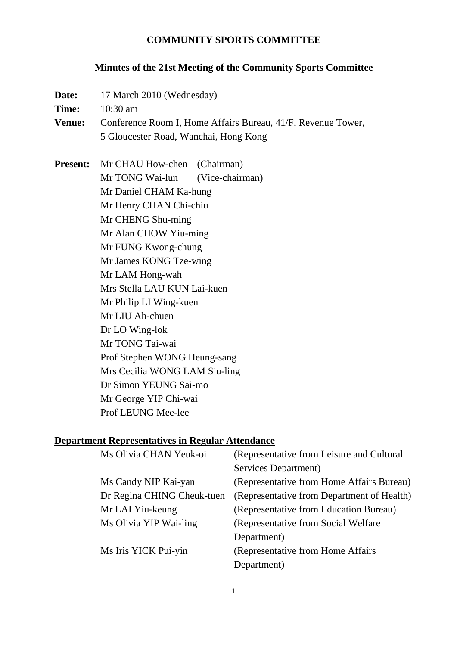#### **COMMUNITY SPORTS COMMITTEE**

#### **Minutes of the 21st Meeting of the Community Sports Committee**

| Date:                                                                         | 17 March 2010 (Wednesday)                                                |                                           |  |
|-------------------------------------------------------------------------------|--------------------------------------------------------------------------|-------------------------------------------|--|
| Time:                                                                         | $10:30$ am                                                               |                                           |  |
| <b>Venue:</b><br>Conference Room I, Home Affairs Bureau, 41/F, Revenue Tower, |                                                                          |                                           |  |
|                                                                               | 5 Gloucester Road, Wanchai, Hong Kong                                    |                                           |  |
| <b>Present:</b>                                                               | Mr CHAU How-chen (Chairman)                                              |                                           |  |
|                                                                               | Mr TONG Wai-lun                                                          | (Vice-chairman)                           |  |
|                                                                               | Mr Daniel CHAM Ka-hung                                                   |                                           |  |
|                                                                               | Mr Henry CHAN Chi-chiu                                                   |                                           |  |
|                                                                               | Mr CHENG Shu-ming                                                        |                                           |  |
|                                                                               | Mr Alan CHOW Yiu-ming<br>Mr FUNG Kwong-chung                             |                                           |  |
|                                                                               |                                                                          |                                           |  |
|                                                                               | Mr James KONG Tze-wing                                                   |                                           |  |
|                                                                               | Mr LAM Hong-wah<br>Mrs Stella LAU KUN Lai-kuen<br>Mr Philip LI Wing-kuen |                                           |  |
|                                                                               |                                                                          |                                           |  |
|                                                                               |                                                                          |                                           |  |
|                                                                               | Mr LIU Ah-chuen                                                          |                                           |  |
|                                                                               | Dr LO Wing-lok                                                           |                                           |  |
|                                                                               | Mr TONG Tai-wai<br>Prof Stephen WONG Heung-sang                          |                                           |  |
|                                                                               |                                                                          |                                           |  |
|                                                                               | Mrs Cecilia WONG LAM Siu-ling                                            |                                           |  |
|                                                                               | Dr Simon YEUNG Sai-mo                                                    |                                           |  |
|                                                                               | Mr George YIP Chi-wai                                                    |                                           |  |
|                                                                               | Prof LEUNG Mee-lee                                                       |                                           |  |
|                                                                               | <b>Department Representatives in Regular Attendance</b>                  |                                           |  |
|                                                                               | Ms Olivia CHAN Yeuk-oi                                                   | (Representative from Leisure and Cultural |  |
|                                                                               |                                                                          | Services Department)                      |  |
|                                                                               | Ms Candy NIP Kai-yan                                                     | (Representative from Home Affairs Bureau  |  |
|                                                                               |                                                                          | $CTT = 1$                                 |  |

s Bureau) Dr Regina CHING Cheuk-tuen (Representative from Department of Health) Mr LAI Yiu-keung (Representative from Education Bureau) Ms Olivia YIP Wai-ling (Representative from Social Welfare Department) Ms Iris YICK Pui-yin (Representative from Home Affairs Department)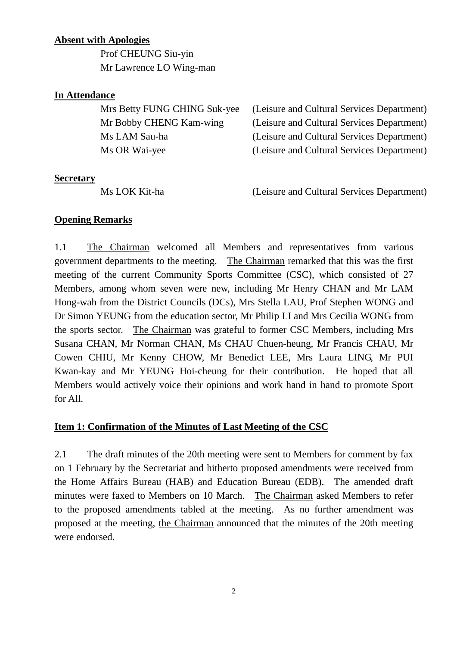### **Absent with Apologies**

 Prof CHEUNG Siu-yin Mr Lawrence LO Wing-man

### **In Attendance**

| Mrs Betty FUNG CHING Suk-yee | (Leisure and Cultural Services Department) |
|------------------------------|--------------------------------------------|
| Mr Bobby CHENG Kam-wing      | (Leisure and Cultural Services Department) |
| Ms LAM Sau-ha                | (Leisure and Cultural Services Department) |
| Ms OR Wai-yee                | (Leisure and Cultural Services Department) |
|                              |                                            |

#### **Secretary**

Ms LOK Kit-ha (Leisure and Cultural Services Department)

### **Opening Remarks**

1.1 The Chairman welcomed all Members and representatives from various government departments to the meeting. The Chairman remarked that this was the first meeting of the current Community Sports Committee (CSC), which consisted of 27 Members, among whom seven were new, including Mr Henry CHAN and Mr LAM Hong-wah from the District Councils (DCs), Mrs Stella LAU, Prof Stephen WONG and Dr Simon YEUNG from the education sector, Mr Philip LI and Mrs Cecilia WONG from the sports sector. The Chairman was grateful to former CSC Members, including Mrs Susana CHAN, Mr Norman CHAN, Ms CHAU Chuen-heung, Mr Francis CHAU, Mr Cowen CHIU, Mr Kenny CHOW, Mr Benedict LEE, Mrs Laura LING, Mr PUI Kwan-kay and Mr YEUNG Hoi-cheung for their contribution. He hoped that all Members would actively voice their opinions and work hand in hand to promote Sport for All.

# **Item 1: Confirmation of the Minutes of Last Meeting of the CSC**

2.1 The draft minutes of the 20th meeting were sent to Members for comment by fax on 1 February by the Secretariat and hitherto proposed amendments were received from the Home Affairs Bureau (HAB) and Education Bureau (EDB). The amended draft minutes were faxed to Members on 10 March. The Chairman asked Members to refer to the proposed amendments tabled at the meeting. As no further amendment was proposed at the meeting, the Chairman announced that the minutes of the 20th meeting were endorsed.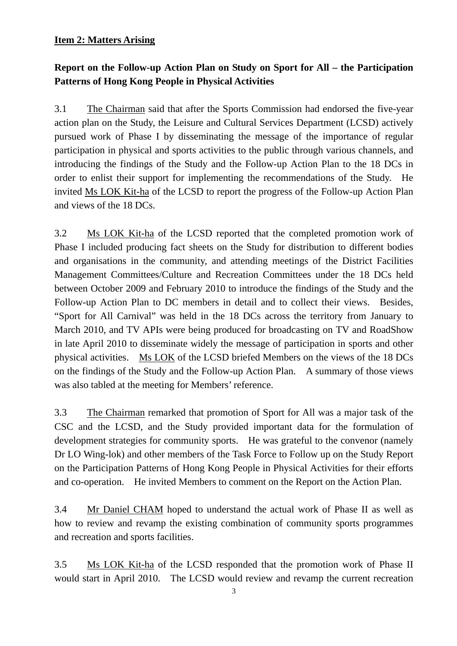### **Item 2: Matters Arising**

# **Report on the Follow-up Action Plan on Study on Sport for All – the Participation Patterns of Hong Kong People in Physical Activities**

3.1 The Chairman said that after the Sports Commission had endorsed the five-year action plan on the Study, the Leisure and Cultural Services Department (LCSD) actively pursued work of Phase I by disseminating the message of the importance of regular participation in physical and sports activities to the public through various channels, and introducing the findings of the Study and the Follow-up Action Plan to the 18 DCs in order to enlist their support for implementing the recommendations of the Study. He invited Ms LOK Kit-ha of the LCSD to report the progress of the Follow-up Action Plan and views of the 18 DCs.

3.2 Ms LOK Kit-ha of the LCSD reported that the completed promotion work of Phase I included producing fact sheets on the Study for distribution to different bodies and organisations in the community, and attending meetings of the District Facilities Management Committees/Culture and Recreation Committees under the 18 DCs held between October 2009 and February 2010 to introduce the findings of the Study and the Follow-up Action Plan to DC members in detail and to collect their views. Besides, "Sport for All Carnival" was held in the 18 DCs across the territory from January to March 2010, and TV APIs were being produced for broadcasting on TV and RoadShow in late April 2010 to disseminate widely the message of participation in sports and other physical activities. Ms LOK of the LCSD briefed Members on the views of the 18 DCs on the findings of the Study and the Follow-up Action Plan. A summary of those views was also tabled at the meeting for Members' reference.

3.3 The Chairman remarked that promotion of Sport for All was a major task of the CSC and the LCSD, and the Study provided important data for the formulation of development strategies for community sports. He was grateful to the convenor (namely Dr LO Wing-lok) and other members of the Task Force to Follow up on the Study Report on the Participation Patterns of Hong Kong People in Physical Activities for their efforts and co-operation. He invited Members to comment on the Report on the Action Plan.

3.4 Mr Daniel CHAM hoped to understand the actual work of Phase II as well as how to review and revamp the existing combination of community sports programmes and recreation and sports facilities.

3.5 Ms LOK Kit-ha of the LCSD responded that the promotion work of Phase II would start in April 2010. The LCSD would review and revamp the current recreation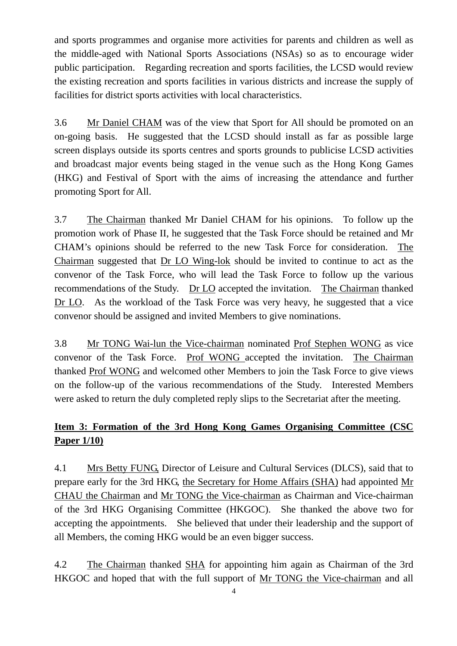and sports programmes and organise more activities for parents and children as well as the middle-aged with National Sports Associations (NSAs) so as to encourage wider public participation. Regarding recreation and sports facilities, the LCSD would review the existing recreation and sports facilities in various districts and increase the supply of facilities for district sports activities with local characteristics.

3.6 Mr Daniel CHAM was of the view that Sport for All should be promoted on an on-going basis. He suggested that the LCSD should install as far as possible large screen displays outside its sports centres and sports grounds to publicise LCSD activities and broadcast major events being staged in the venue such as the Hong Kong Games (HKG) and Festival of Sport with the aims of increasing the attendance and further promoting Sport for All.

3.7 The Chairman thanked Mr Daniel CHAM for his opinions. To follow up the promotion work of Phase II, he suggested that the Task Force should be retained and Mr CHAM's opinions should be referred to the new Task Force for consideration. The Chairman suggested that Dr LO Wing-lok should be invited to continue to act as the convenor of the Task Force, who will lead the Task Force to follow up the various recommendations of the Study. Dr LO accepted the invitation. The Chairman thanked Dr LO. As the workload of the Task Force was very heavy, he suggested that a vice convenor should be assigned and invited Members to give nominations.

3.8 Mr TONG Wai-lun the Vice-chairman nominated Prof Stephen WONG as vice convenor of the Task Force. Prof WONG accepted the invitation. The Chairman thanked Prof WONG and welcomed other Members to join the Task Force to give views on the follow-up of the various recommendations of the Study. Interested Members were asked to return the duly completed reply slips to the Secretariat after the meeting.

# **Item 3: Formation of the 3rd Hong Kong Games Organising Committee (CSC Paper 1/10)**

4.1 Mrs Betty FUNG, Director of Leisure and Cultural Services (DLCS), said that to prepare early for the 3rd HKG, the Secretary for Home Affairs (SHA) had appointed Mr CHAU the Chairman and Mr TONG the Vice-chairman as Chairman and Vice-chairman of the 3rd HKG Organising Committee (HKGOC). She thanked the above two for accepting the appointments. She believed that under their leadership and the support of all Members, the coming HKG would be an even bigger success.

4.2 The Chairman thanked SHA for appointing him again as Chairman of the 3rd HKGOC and hoped that with the full support of Mr TONG the Vice-chairman and all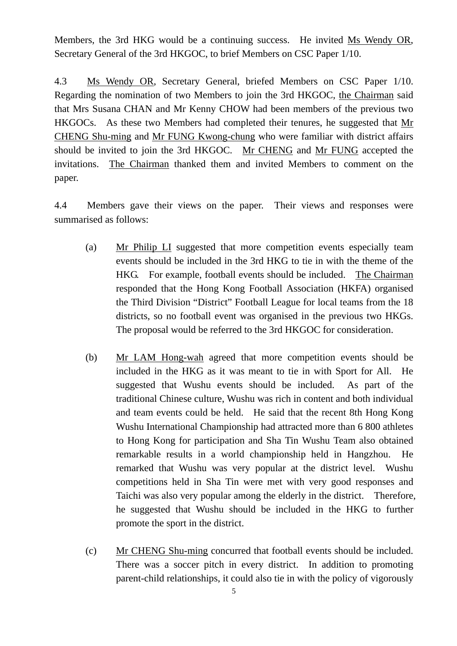Members, the 3rd HKG would be a continuing success. He invited Ms Wendy OR, Secretary General of the 3rd HKGOC, to brief Members on CSC Paper 1/10.

4.3 Ms Wendy OR, Secretary General, briefed Members on CSC Paper 1/10. Regarding the nomination of two Members to join the 3rd HKGOC, the Chairman said that Mrs Susana CHAN and Mr Kenny CHOW had been members of the previous two HKGOCs. As these two Members had completed their tenures, he suggested that Mr CHENG Shu-ming and Mr FUNG Kwong-chung who were familiar with district affairs should be invited to join the 3rd HKGOC. Mr CHENG and Mr FUNG accepted the invitations. The Chairman thanked them and invited Members to comment on the paper.

4.4 Members gave their views on the paper. Their views and responses were summarised as follows:

- (a) Mr Philip LI suggested that more competition events especially team events should be included in the 3rd HKG to tie in with the theme of the HKG. For example, football events should be included. The Chairman responded that the Hong Kong Football Association (HKFA) organised the Third Division "District" Football League for local teams from the 18 districts, so no football event was organised in the previous two HKGs. The proposal would be referred to the 3rd HKGOC for consideration.
- (b) Mr LAM Hong-wah agreed that more competition events should be included in the HKG as it was meant to tie in with Sport for All. He suggested that Wushu events should be included. As part of the traditional Chinese culture, Wushu was rich in content and both individual and team events could be held. He said that the recent 8th Hong Kong Wushu International Championship had attracted more than 6 800 athletes to Hong Kong for participation and Sha Tin Wushu Team also obtained remarkable results in a world championship held in Hangzhou. He remarked that Wushu was very popular at the district level. Wushu competitions held in Sha Tin were met with very good responses and Taichi was also very popular among the elderly in the district. Therefore, he suggested that Wushu should be included in the HKG to further promote the sport in the district.
- (c) Mr CHENG Shu-ming concurred that football events should be included. There was a soccer pitch in every district. In addition to promoting parent-child relationships, it could also tie in with the policy of vigorously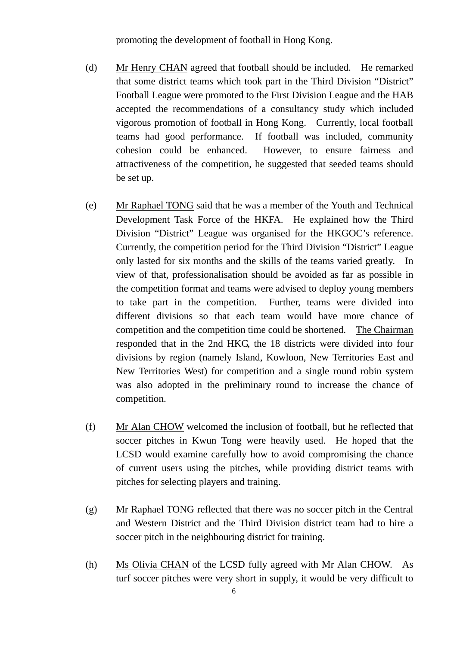promoting the development of football in Hong Kong.

- (d) Mr Henry CHAN agreed that football should be included. He remarked that some district teams which took part in the Third Division "District" Football League were promoted to the First Division League and the HAB accepted the recommendations of a consultancy study which included vigorous promotion of football in Hong Kong. Currently, local football teams had good performance. If football was included, community cohesion could be enhanced. However, to ensure fairness and attractiveness of the competition, he suggested that seeded teams should be set up.
- (e) Mr Raphael TONG said that he was a member of the Youth and Technical Development Task Force of the HKFA. He explained how the Third Division "District" League was organised for the HKGOC's reference. Currently, the competition period for the Third Division "District" League only lasted for six months and the skills of the teams varied greatly. In view of that, professionalisation should be avoided as far as possible in the competition format and teams were advised to deploy young members to take part in the competition. Further, teams were divided into different divisions so that each team would have more chance of competition and the competition time could be shortened. The Chairman responded that in the 2nd HKG, the 18 districts were divided into four divisions by region (namely Island, Kowloon, New Territories East and New Territories West) for competition and a single round robin system was also adopted in the preliminary round to increase the chance of competition.
- (f) Mr Alan CHOW welcomed the inclusion of football, but he reflected that soccer pitches in Kwun Tong were heavily used. He hoped that the LCSD would examine carefully how to avoid compromising the chance of current users using the pitches, while providing district teams with pitches for selecting players and training.
- (g) Mr Raphael TONG reflected that there was no soccer pitch in the Central and Western District and the Third Division district team had to hire a soccer pitch in the neighbouring district for training.
- (h) Ms Olivia CHAN of the LCSD fully agreed with Mr Alan CHOW. As turf soccer pitches were very short in supply, it would be very difficult to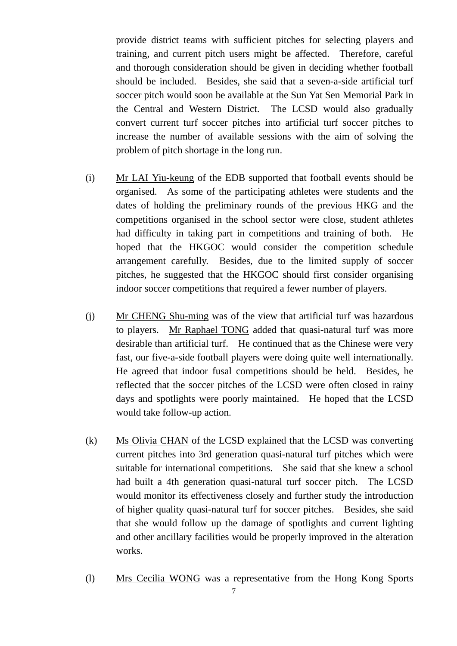provide district teams with sufficient pitches for selecting players and training, and current pitch users might be affected. Therefore, careful and thorough consideration should be given in deciding whether football should be included. Besides, she said that a seven-a-side artificial turf soccer pitch would soon be available at the Sun Yat Sen Memorial Park in the Central and Western District. The LCSD would also gradually convert current turf soccer pitches into artificial turf soccer pitches to increase the number of available sessions with the aim of solving the problem of pitch shortage in the long run.

- (i) Mr LAI Yiu-keung of the EDB supported that football events should be organised. As some of the participating athletes were students and the dates of holding the preliminary rounds of the previous HKG and the competitions organised in the school sector were close, student athletes had difficulty in taking part in competitions and training of both. He hoped that the HKGOC would consider the competition schedule arrangement carefully. Besides, due to the limited supply of soccer pitches, he suggested that the HKGOC should first consider organising indoor soccer competitions that required a fewer number of players.
- (j) Mr CHENG Shu-ming was of the view that artificial turf was hazardous to players. Mr Raphael TONG added that quasi-natural turf was more desirable than artificial turf. He continued that as the Chinese were very fast, our five-a-side football players were doing quite well internationally. He agreed that indoor fusal competitions should be held. Besides, he reflected that the soccer pitches of the LCSD were often closed in rainy days and spotlights were poorly maintained. He hoped that the LCSD would take follow-up action.
- (k) Ms Olivia CHAN of the LCSD explained that the LCSD was converting current pitches into 3rd generation quasi-natural turf pitches which were suitable for international competitions. She said that she knew a school had built a 4th generation quasi-natural turf soccer pitch. The LCSD would monitor its effectiveness closely and further study the introduction of higher quality quasi-natural turf for soccer pitches. Besides, she said that she would follow up the damage of spotlights and current lighting and other ancillary facilities would be properly improved in the alteration works.
- (l) Mrs Cecilia WONG was a representative from the Hong Kong Sports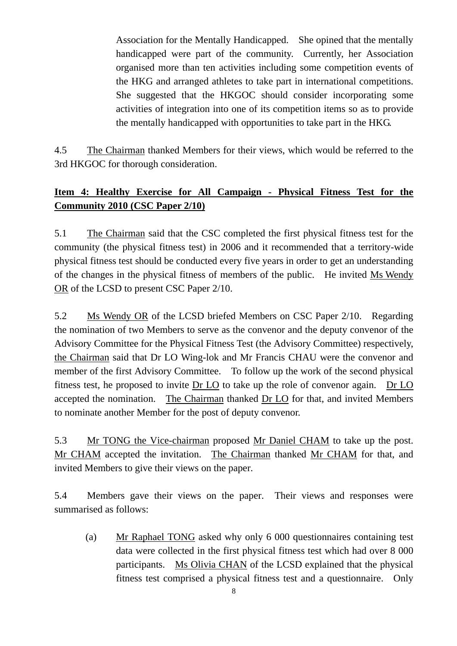Association for the Mentally Handicapped. She opined that the mentally handicapped were part of the community. Currently, her Association organised more than ten activities including some competition events of the HKG and arranged athletes to take part in international competitions. She suggested that the HKGOC should consider incorporating some activities of integration into one of its competition items so as to provide the mentally handicapped with opportunities to take part in the HKG.

4.5 The Chairman thanked Members for their views, which would be referred to the 3rd HKGOC for thorough consideration.

# **Item 4: Healthy Exercise for All Campaign - Physical Fitness Test for the Community 2010 (CSC Paper 2/10)**

5.1 The Chairman said that the CSC completed the first physical fitness test for the community (the physical fitness test) in 2006 and it recommended that a territory-wide physical fitness test should be conducted every five years in order to get an understanding of the changes in the physical fitness of members of the public. He invited Ms Wendy OR of the LCSD to present CSC Paper 2/10.

5.2 Ms Wendy OR of the LCSD briefed Members on CSC Paper 2/10. Regarding the nomination of two Members to serve as the convenor and the deputy convenor of the Advisory Committee for the Physical Fitness Test (the Advisory Committee) respectively, the Chairman said that Dr LO Wing-lok and Mr Francis CHAU were the convenor and member of the first Advisory Committee. To follow up the work of the second physical fitness test, he proposed to invite Dr LO to take up the role of convenor again. Dr LO accepted the nomination. The Chairman thanked Dr LO for that, and invited Members to nominate another Member for the post of deputy convenor.

5.3 Mr TONG the Vice-chairman proposed Mr Daniel CHAM to take up the post. Mr CHAM accepted the invitation. The Chairman thanked Mr CHAM for that, and invited Members to give their views on the paper.

5.4 Members gave their views on the paper. Their views and responses were summarised as follows:

(a) Mr Raphael TONG asked why only 6 000 questionnaires containing test data were collected in the first physical fitness test which had over 8 000 participants. Ms Olivia CHAN of the LCSD explained that the physical fitness test comprised a physical fitness test and a questionnaire. Only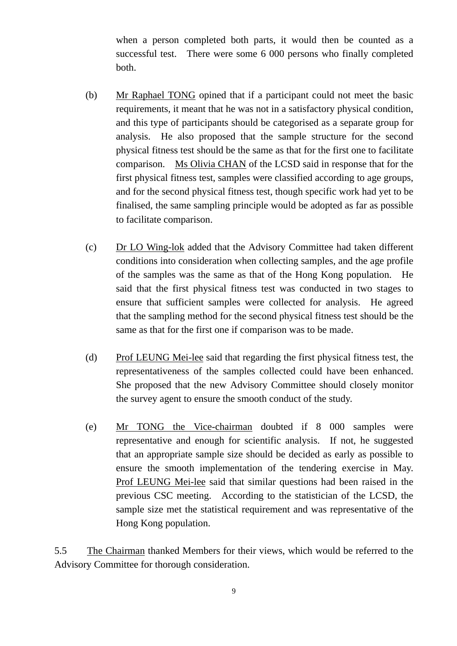when a person completed both parts, it would then be counted as a successful test. There were some 6 000 persons who finally completed both.

- (b) Mr Raphael TONG opined that if a participant could not meet the basic requirements, it meant that he was not in a satisfactory physical condition, and this type of participants should be categorised as a separate group for analysis. He also proposed that the sample structure for the second physical fitness test should be the same as that for the first one to facilitate comparison. Ms Olivia CHAN of the LCSD said in response that for the first physical fitness test, samples were classified according to age groups, and for the second physical fitness test, though specific work had yet to be finalised, the same sampling principle would be adopted as far as possible to facilitate comparison.
- (c) Dr LO Wing-lok added that the Advisory Committee had taken different conditions into consideration when collecting samples, and the age profile of the samples was the same as that of the Hong Kong population. He said that the first physical fitness test was conducted in two stages to ensure that sufficient samples were collected for analysis. He agreed that the sampling method for the second physical fitness test should be the same as that for the first one if comparison was to be made.
- (d) Prof LEUNG Mei-lee said that regarding the first physical fitness test, the representativeness of the samples collected could have been enhanced. She proposed that the new Advisory Committee should closely monitor the survey agent to ensure the smooth conduct of the study.
- (e) Mr TONG the Vice-chairman doubted if 8 000 samples were representative and enough for scientific analysis. If not, he suggested that an appropriate sample size should be decided as early as possible to ensure the smooth implementation of the tendering exercise in May. Prof LEUNG Mei-lee said that similar questions had been raised in the previous CSC meeting. According to the statistician of the LCSD, the sample size met the statistical requirement and was representative of the Hong Kong population.

5.5 The Chairman thanked Members for their views, which would be referred to the Advisory Committee for thorough consideration.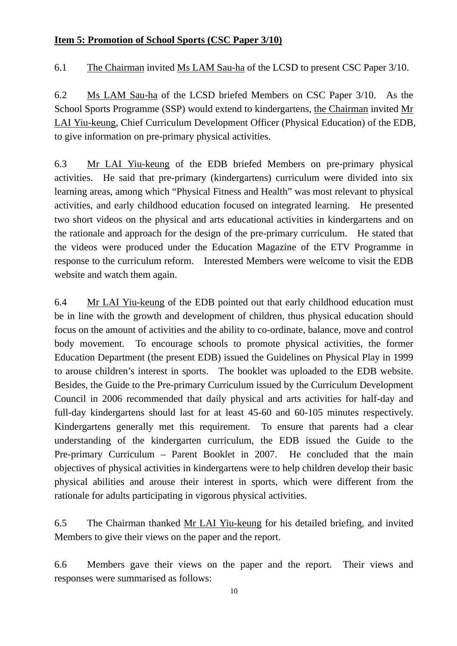### **Item 5: Promotion of School Sports (CSC Paper 3/10)**

6.1 The Chairman invited Ms LAM Sau-ha of the LCSD to present CSC Paper 3/10.

6.2 Ms LAM Sau-ha of the LCSD briefed Members on CSC Paper 3/10. As the School Sports Programme (SSP) would extend to kindergartens, the Chairman invited Mr LAI Yiu-keung, Chief Curriculum Development Officer (Physical Education) of the EDB, to give information on pre-primary physical activities.

6.3 Mr LAI Yiu-keung of the EDB briefed Members on pre-primary physical activities. He said that pre-primary (kindergartens) curriculum were divided into six learning areas, among which "Physical Fitness and Health" was most relevant to physical activities, and early childhood education focused on integrated learning. He presented two short videos on the physical and arts educational activities in kindergartens and on the rationale and approach for the design of the pre-primary curriculum. He stated that the videos were produced under the Education Magazine of the ETV Programme in response to the curriculum reform. Interested Members were welcome to visit the EDB website and watch them again.

6.4 Mr LAI Yiu-keung of the EDB pointed out that early childhood education must be in line with the growth and development of children, thus physical education should focus on the amount of activities and the ability to co-ordinate, balance, move and control body movement. To encourage schools to promote physical activities, the former Education Department (the present EDB) issued the Guidelines on Physical Play in 1999 to arouse children's interest in sports. The booklet was uploaded to the EDB website. Besides, the Guide to the Pre-primary Curriculum issued by the Curriculum Development Council in 2006 recommended that daily physical and arts activities for half-day and full-day kindergartens should last for at least 45-60 and 60-105 minutes respectively. Kindergartens generally met this requirement. To ensure that parents had a clear understanding of the kindergarten curriculum, the EDB issued the Guide to the Pre-primary Curriculum – Parent Booklet in 2007. He concluded that the main objectives of physical activities in kindergartens were to help children develop their basic physical abilities and arouse their interest in sports, which were different from the rationale for adults participating in vigorous physical activities.

6.5 The Chairman thanked Mr LAI Yiu-keung for his detailed briefing, and invited Members to give their views on the paper and the report.

6.6 Members gave their views on the paper and the report. Their views and responses were summarised as follows: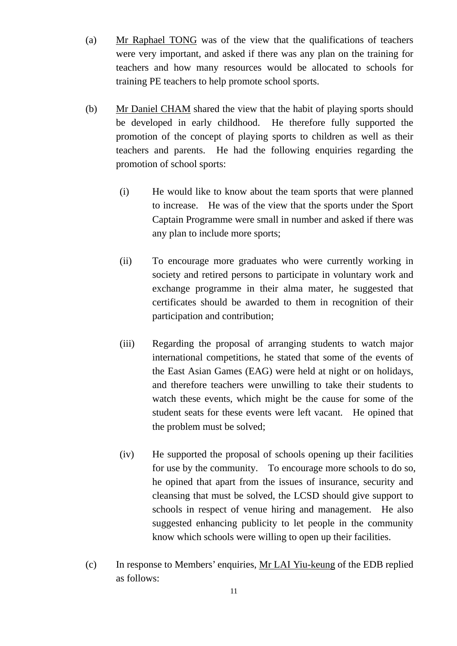- (a) Mr Raphael TONG was of the view that the qualifications of teachers were very important, and asked if there was any plan on the training for teachers and how many resources would be allocated to schools for training PE teachers to help promote school sports.
- (b) Mr Daniel CHAM shared the view that the habit of playing sports should be developed in early childhood. He therefore fully supported the promotion of the concept of playing sports to children as well as their teachers and parents. He had the following enquiries regarding the promotion of school sports:
	- (i) He would like to know about the team sports that were planned to increase. He was of the view that the sports under the Sport Captain Programme were small in number and asked if there was any plan to include more sports;
	- (ii) To encourage more graduates who were currently working in society and retired persons to participate in voluntary work and exchange programme in their alma mater, he suggested that certificates should be awarded to them in recognition of their participation and contribution;
	- (iii) Regarding the proposal of arranging students to watch major international competitions, he stated that some of the events of the East Asian Games (EAG) were held at night or on holidays, and therefore teachers were unwilling to take their students to watch these events, which might be the cause for some of the student seats for these events were left vacant. He opined that the problem must be solved;
	- (iv) He supported the proposal of schools opening up their facilities for use by the community. To encourage more schools to do so, he opined that apart from the issues of insurance, security and cleansing that must be solved, the LCSD should give support to schools in respect of venue hiring and management. He also suggested enhancing publicity to let people in the community know which schools were willing to open up their facilities.
- (c) In response to Members' enquiries, Mr LAI Yiu-keung of the EDB replied as follows: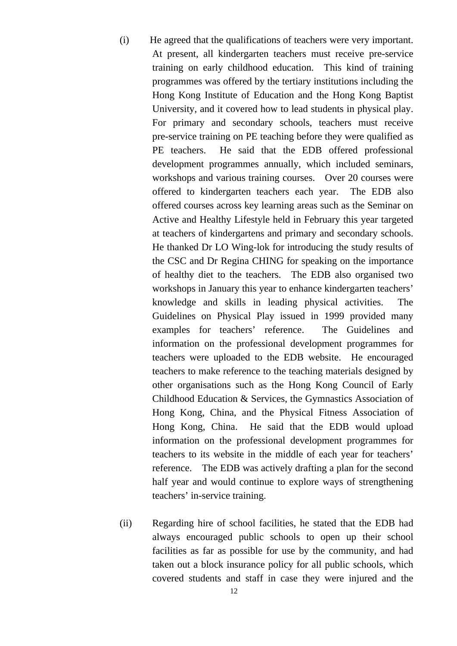- (i) He agreed that the qualifications of teachers were very important. At present, all kindergarten teachers must receive pre-service training on early childhood education. This kind of training programmes was offered by the tertiary institutions including the Hong Kong Institute of Education and the Hong Kong Baptist University, and it covered how to lead students in physical play. For primary and secondary schools, teachers must receive pre-service training on PE teaching before they were qualified as PE teachers. He said that the EDB offered professional development programmes annually, which included seminars, workshops and various training courses. Over 20 courses were offered to kindergarten teachers each year. The EDB also offered courses across key learning areas such as the Seminar on Active and Healthy Lifestyle held in February this year targeted at teachers of kindergartens and primary and secondary schools. He thanked Dr LO Wing-lok for introducing the study results of the CSC and Dr Regina CHING for speaking on the importance of healthy diet to the teachers. The EDB also organised two workshops in January this year to enhance kindergarten teachers' knowledge and skills in leading physical activities. The Guidelines on Physical Play issued in 1999 provided many examples for teachers' reference. The Guidelines and information on the professional development programmes for teachers were uploaded to the EDB website. He encouraged teachers to make reference to the teaching materials designed by other organisations such as the Hong Kong Council of Early Childhood Education & Services, the Gymnastics Association of Hong Kong, China, and the Physical Fitness Association of Hong Kong, China. He said that the EDB would upload information on the professional development programmes for teachers to its website in the middle of each year for teachers' reference. The EDB was actively drafting a plan for the second half year and would continue to explore ways of strengthening teachers' in-service training.
- (ii) Regarding hire of school facilities, he stated that the EDB had always encouraged public schools to open up their school facilities as far as possible for use by the community, and had taken out a block insurance policy for all public schools, which covered students and staff in case they were injured and the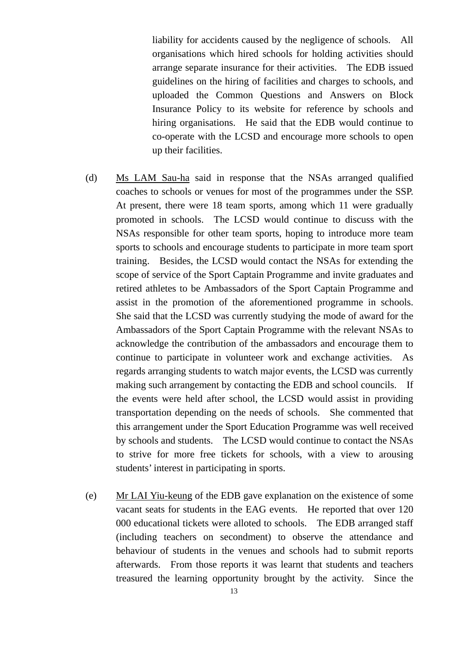liability for accidents caused by the negligence of schools. All organisations which hired schools for holding activities should arrange separate insurance for their activities. The EDB issued guidelines on the hiring of facilities and charges to schools, and uploaded the Common Questions and Answers on Block Insurance Policy to its website for reference by schools and hiring organisations. He said that the EDB would continue to co-operate with the LCSD and encourage more schools to open up their facilities.

- (d) Ms LAM Sau-ha said in response that the NSAs arranged qualified coaches to schools or venues for most of the programmes under the SSP. At present, there were 18 team sports, among which 11 were gradually promoted in schools. The LCSD would continue to discuss with the NSAs responsible for other team sports, hoping to introduce more team sports to schools and encourage students to participate in more team sport training. Besides, the LCSD would contact the NSAs for extending the scope of service of the Sport Captain Programme and invite graduates and retired athletes to be Ambassadors of the Sport Captain Programme and assist in the promotion of the aforementioned programme in schools. She said that the LCSD was currently studying the mode of award for the Ambassadors of the Sport Captain Programme with the relevant NSAs to acknowledge the contribution of the ambassadors and encourage them to continue to participate in volunteer work and exchange activities. As regards arranging students to watch major events, the LCSD was currently making such arrangement by contacting the EDB and school councils. If the events were held after school, the LCSD would assist in providing transportation depending on the needs of schools. She commented that this arrangement under the Sport Education Programme was well received by schools and students. The LCSD would continue to contact the NSAs to strive for more free tickets for schools, with a view to arousing students' interest in participating in sports.
- (e) Mr LAI Yiu-keung of the EDB gave explanation on the existence of some vacant seats for students in the EAG events. He reported that over 120 000 educational tickets were alloted to schools. The EDB arranged staff (including teachers on secondment) to observe the attendance and behaviour of students in the venues and schools had to submit reports afterwards. From those reports it was learnt that students and teachers treasured the learning opportunity brought by the activity. Since the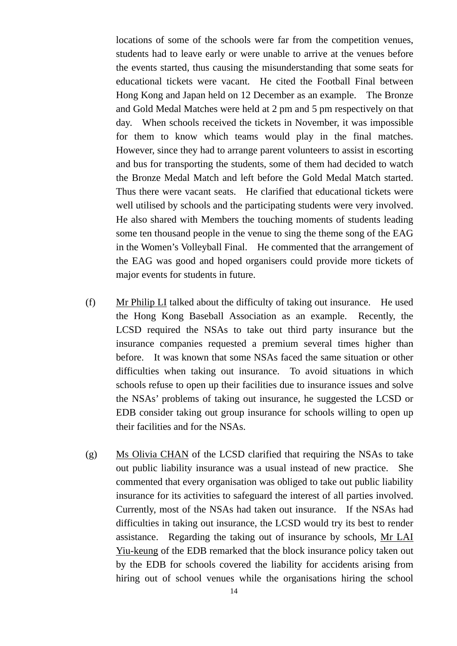locations of some of the schools were far from the competition venues, students had to leave early or were unable to arrive at the venues before the events started, thus causing the misunderstanding that some seats for educational tickets were vacant. He cited the Football Final between Hong Kong and Japan held on 12 December as an example. The Bronze and Gold Medal Matches were held at 2 pm and 5 pm respectively on that day. When schools received the tickets in November, it was impossible for them to know which teams would play in the final matches. However, since they had to arrange parent volunteers to assist in escorting and bus for transporting the students, some of them had decided to watch the Bronze Medal Match and left before the Gold Medal Match started. Thus there were vacant seats. He clarified that educational tickets were well utilised by schools and the participating students were very involved. He also shared with Members the touching moments of students leading some ten thousand people in the venue to sing the theme song of the EAG in the Women's Volleyball Final. He commented that the arrangement of the EAG was good and hoped organisers could provide more tickets of major events for students in future.

- (f) Mr Philip LI talked about the difficulty of taking out insurance. He used the Hong Kong Baseball Association as an example. Recently, the LCSD required the NSAs to take out third party insurance but the insurance companies requested a premium several times higher than before. It was known that some NSAs faced the same situation or other difficulties when taking out insurance. To avoid situations in which schools refuse to open up their facilities due to insurance issues and solve the NSAs' problems of taking out insurance, he suggested the LCSD or EDB consider taking out group insurance for schools willing to open up their facilities and for the NSAs.
- (g) Ms Olivia CHAN of the LCSD clarified that requiring the NSAs to take out public liability insurance was a usual instead of new practice. She commented that every organisation was obliged to take out public liability insurance for its activities to safeguard the interest of all parties involved. Currently, most of the NSAs had taken out insurance. If the NSAs had difficulties in taking out insurance, the LCSD would try its best to render assistance. Regarding the taking out of insurance by schools, Mr LAI Yiu-keung of the EDB remarked that the block insurance policy taken out by the EDB for schools covered the liability for accidents arising from hiring out of school venues while the organisations hiring the school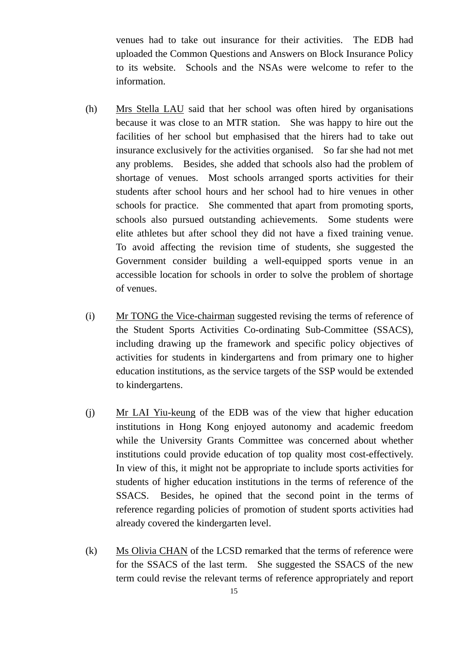venues had to take out insurance for their activities. The EDB had uploaded the Common Questions and Answers on Block Insurance Policy to its website. Schools and the NSAs were welcome to refer to the information.

- (h) Mrs Stella LAU said that her school was often hired by organisations because it was close to an MTR station. She was happy to hire out the facilities of her school but emphasised that the hirers had to take out insurance exclusively for the activities organised. So far she had not met any problems. Besides, she added that schools also had the problem of shortage of venues. Most schools arranged sports activities for their students after school hours and her school had to hire venues in other schools for practice. She commented that apart from promoting sports, schools also pursued outstanding achievements. Some students were elite athletes but after school they did not have a fixed training venue. To avoid affecting the revision time of students, she suggested the Government consider building a well-equipped sports venue in an accessible location for schools in order to solve the problem of shortage of venues.
- (i) Mr TONG the Vice-chairman suggested revising the terms of reference of the Student Sports Activities Co-ordinating Sub-Committee (SSACS), including drawing up the framework and specific policy objectives of activities for students in kindergartens and from primary one to higher education institutions, as the service targets of the SSP would be extended to kindergartens.
- (j) Mr LAI Yiu-keung of the EDB was of the view that higher education institutions in Hong Kong enjoyed autonomy and academic freedom while the University Grants Committee was concerned about whether institutions could provide education of top quality most cost-effectively. In view of this, it might not be appropriate to include sports activities for students of higher education institutions in the terms of reference of the SSACS. Besides, he opined that the second point in the terms of reference regarding policies of promotion of student sports activities had already covered the kindergarten level.
- (k) Ms Olivia CHAN of the LCSD remarked that the terms of reference were for the SSACS of the last term. She suggested the SSACS of the new term could revise the relevant terms of reference appropriately and report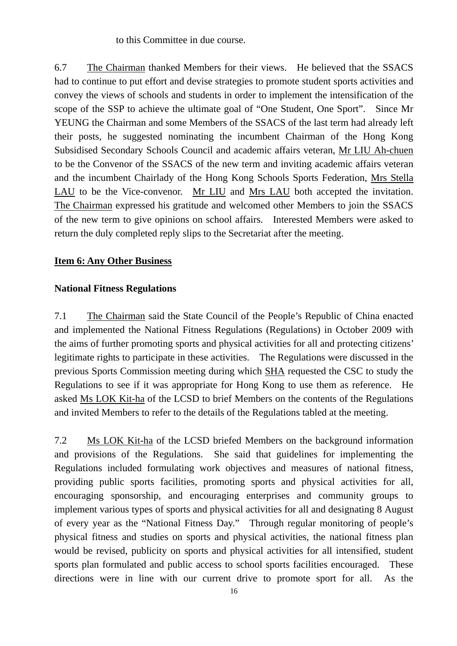to this Committee in due course.

6.7 The Chairman thanked Members for their views. He believed that the SSACS had to continue to put effort and devise strategies to promote student sports activities and convey the views of schools and students in order to implement the intensification of the scope of the SSP to achieve the ultimate goal of "One Student, One Sport". Since Mr YEUNG the Chairman and some Members of the SSACS of the last term had already left their posts, he suggested nominating the incumbent Chairman of the Hong Kong Subsidised Secondary Schools Council and academic affairs veteran, Mr LIU Ah-chuen to be the Convenor of the SSACS of the new term and inviting academic affairs veteran and the incumbent Chairlady of the Hong Kong Schools Sports Federation, Mrs Stella LAU to be the Vice-convenor. Mr LIU and Mrs LAU both accepted the invitation. The Chairman expressed his gratitude and welcomed other Members to join the SSACS of the new term to give opinions on school affairs. Interested Members were asked to return the duly completed reply slips to the Secretariat after the meeting.

#### **Item 6: Any Other Business**

### **National Fitness Regulations**

7.1 The Chairman said the State Council of the People's Republic of China enacted and implemented the National Fitness Regulations (Regulations) in October 2009 with the aims of further promoting sports and physical activities for all and protecting citizens' legitimate rights to participate in these activities. The Regulations were discussed in the previous Sports Commission meeting during which SHA requested the CSC to study the Regulations to see if it was appropriate for Hong Kong to use them as reference. He asked Ms LOK Kit-ha of the LCSD to brief Members on the contents of the Regulations and invited Members to refer to the details of the Regulations tabled at the meeting.

7.2 Ms LOK Kit-ha of the LCSD briefed Members on the background information and provisions of the Regulations. She said that guidelines for implementing the Regulations included formulating work objectives and measures of national fitness, providing public sports facilities, promoting sports and physical activities for all, encouraging sponsorship, and encouraging enterprises and community groups to implement various types of sports and physical activities for all and designating 8 August of every year as the "National Fitness Day." Through regular monitoring of people's physical fitness and studies on sports and physical activities, the national fitness plan would be revised, publicity on sports and physical activities for all intensified, student sports plan formulated and public access to school sports facilities encouraged. These directions were in line with our current drive to promote sport for all. As the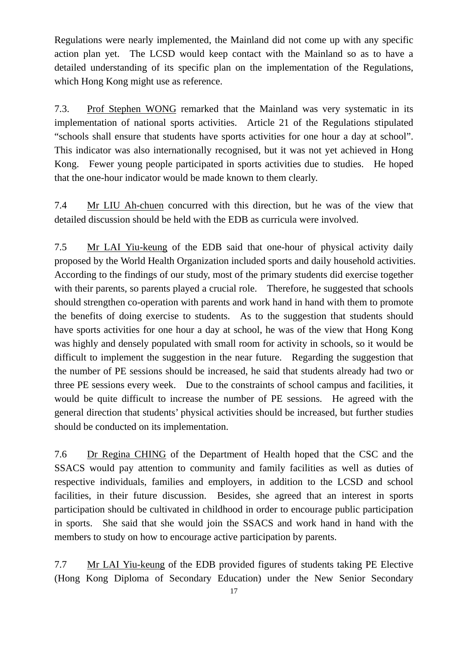Regulations were nearly implemented, the Mainland did not come up with any specific action plan yet. The LCSD would keep contact with the Mainland so as to have a detailed understanding of its specific plan on the implementation of the Regulations, which Hong Kong might use as reference.

7.3. Prof Stephen WONG remarked that the Mainland was very systematic in its implementation of national sports activities. Article 21 of the Regulations stipulated "schools shall ensure that students have sports activities for one hour a day at school". This indicator was also internationally recognised, but it was not yet achieved in Hong Kong. Fewer young people participated in sports activities due to studies. He hoped that the one-hour indicator would be made known to them clearly.

7.4 Mr LIU Ah-chuen concurred with this direction, but he was of the view that detailed discussion should be held with the EDB as curricula were involved.

7.5 Mr LAI Yiu-keung of the EDB said that one-hour of physical activity daily proposed by the World Health Organization included sports and daily household activities. According to the findings of our study, most of the primary students did exercise together with their parents, so parents played a crucial role. Therefore, he suggested that schools should strengthen co-operation with parents and work hand in hand with them to promote the benefits of doing exercise to students. As to the suggestion that students should have sports activities for one hour a day at school, he was of the view that Hong Kong was highly and densely populated with small room for activity in schools, so it would be difficult to implement the suggestion in the near future. Regarding the suggestion that the number of PE sessions should be increased, he said that students already had two or three PE sessions every week. Due to the constraints of school campus and facilities, it would be quite difficult to increase the number of PE sessions. He agreed with the general direction that students' physical activities should be increased, but further studies should be conducted on its implementation.

7.6 Dr Regina CHING of the Department of Health hoped that the CSC and the SSACS would pay attention to community and family facilities as well as duties of respective individuals, families and employers, in addition to the LCSD and school facilities, in their future discussion. Besides, she agreed that an interest in sports participation should be cultivated in childhood in order to encourage public participation in sports. She said that she would join the SSACS and work hand in hand with the members to study on how to encourage active participation by parents.

7.7 Mr LAI Yiu-keung of the EDB provided figures of students taking PE Elective (Hong Kong Diploma of Secondary Education) under the New Senior Secondary